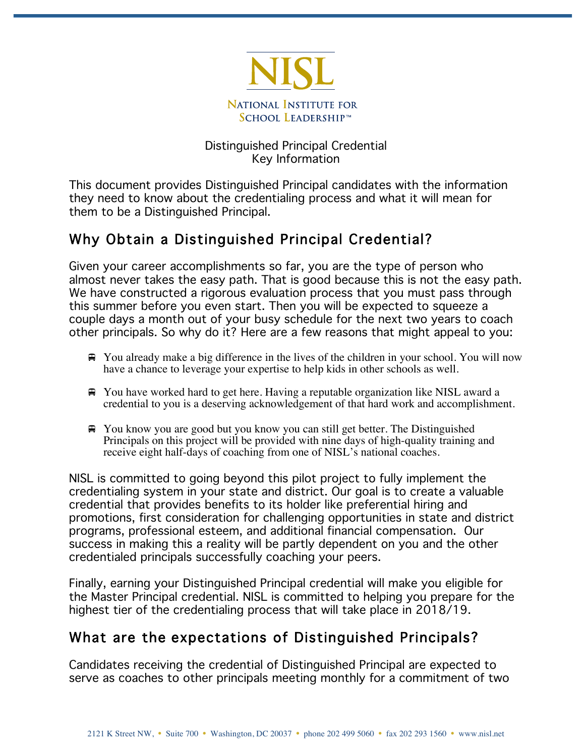

#### Distinguished Principal Credential Key Information

This document provides Distinguished Principal candidates with the information they need to know about the credentialing process and what it will mean for them to be a Distinguished Principal.

# Why Obtain a Distinguished Principal Credential?

Given your career accomplishments so far, you are the type of person who almost never takes the easy path. That is good because this is not the easy path. We have constructed a rigorous evaluation process that you must pass through this summer before you even start. Then you will be expected to squeeze a couple days a month out of your busy schedule for the next two years to coach other principals. So why do it? Here are a few reasons that might appeal to you:

- $\bigoplus$  You already make a big difference in the lives of the children in your school. You will now have a chance to leverage your expertise to help kids in other schools as well.
- $\bigoplus$  **You have worked hard to get here. Having a reputable organization like NISL award a** credential to you is a deserving acknowledgement of that hard work and accomplishment.
- ! You know you are good but you know you can still get better. The Distinguished Principals on this project will be provided with nine days of high-quality training and receive eight half-days of coaching from one of NISL's national coaches.

NISL is committed to going beyond this pilot project to fully implement the credentialing system in your state and district. Our goal is to create a valuable credential that provides benefits to its holder like preferential hiring and promotions, first consideration for challenging opportunities in state and district programs, professional esteem, and additional financial compensation. Our success in making this a reality will be partly dependent on you and the other credentialed principals successfully coaching your peers.

Finally, earning your Distinguished Principal credential will make you eligible for the Master Principal credential. NISL is committed to helping you prepare for the highest tier of the credentialing process that will take place in 2018/19.

### What are the expectations of Distinguished Principals?

Candidates receiving the credential of Distinguished Principal are expected to serve as coaches to other principals meeting monthly for a commitment of two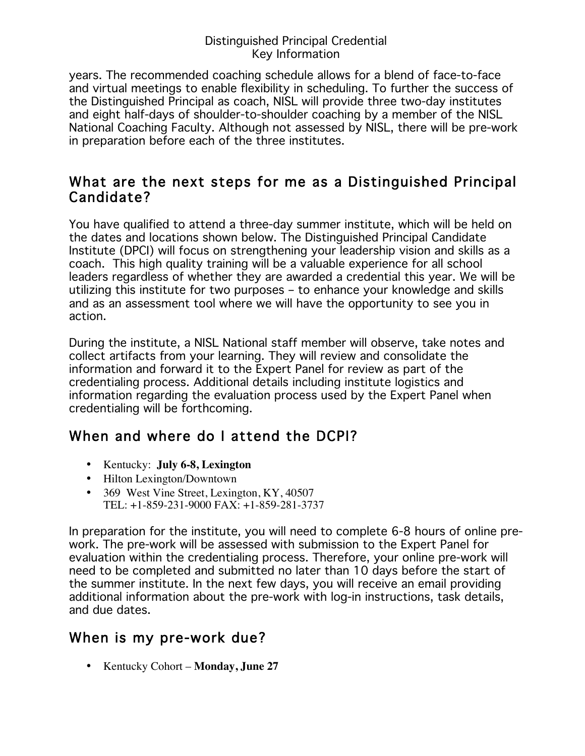#### Distinguished Principal Credential Key Information

years. The recommended coaching schedule allows for a blend of face-to-face and virtual meetings to enable flexibility in scheduling. To further the success of the Distinguished Principal as coach, NISL will provide three two-day institutes and eight half-days of shoulder-to-shoulder coaching by a member of the NISL National Coaching Faculty. Although not assessed by NISL, there will be pre-work in preparation before each of the three institutes.

#### What are the next steps for me as a Distinguished Principal Candidate?

You have qualified to attend a three-day summer institute, which will be held on the dates and locations shown below. The Distinguished Principal Candidate Institute (DPCI) will focus on strengthening your leadership vision and skills as a coach. This high quality training will be a valuable experience for all school leaders regardless of whether they are awarded a credential this year. We will be utilizing this institute for two purposes – to enhance your knowledge and skills and as an assessment tool where we will have the opportunity to see you in action.

During the institute, a NISL National staff member will observe, take notes and collect artifacts from your learning. They will review and consolidate the information and forward it to the Expert Panel for review as part of the credentialing process. Additional details including institute logistics and information regarding the evaluation process used by the Expert Panel when credentialing will be forthcoming.

# When and where do I attend the DCPI?

- Kentucky: **July 6-8, Lexington**
- Hilton Lexington/Downtown
- 369 West Vine Street, Lexington, KY, 40507 TEL: +1-859-231-9000 FAX: +1-859-281-3737

In preparation for the institute, you will need to complete 6-8 hours of online prework. The pre-work will be assessed with submission to the Expert Panel for evaluation within the credentialing process. Therefore, your online pre-work will need to be completed and submitted no later than 10 days before the start of the summer institute. In the next few days, you will receive an email providing additional information about the pre-work with log-in instructions, task details, and due dates.

# When is my pre-work due?

• Kentucky Cohort – **Monday, June 27**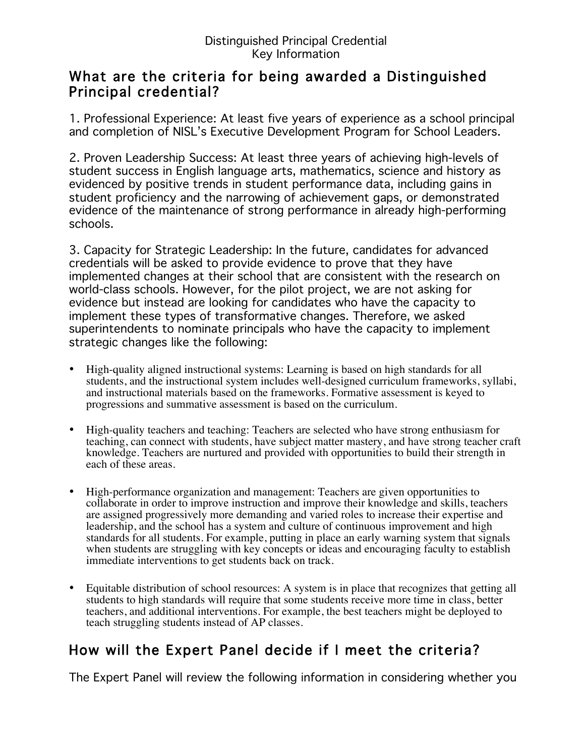#### What are the criteria for being awarded a Distinguished Principal credential?

1. Professional Experience: At least five years of experience as a school principal and completion of NISL's Executive Development Program for School Leaders.

2. Proven Leadership Success: At least three years of achieving high-levels of student success in English language arts, mathematics, science and history as evidenced by positive trends in student performance data, including gains in student proficiency and the narrowing of achievement gaps, or demonstrated evidence of the maintenance of strong performance in already high-performing schools.

3. Capacity for Strategic Leadership: In the future, candidates for advanced credentials will be asked to provide evidence to prove that they have implemented changes at their school that are consistent with the research on world-class schools. However, for the pilot project, we are not asking for evidence but instead are looking for candidates who have the capacity to implement these types of transformative changes. Therefore, we asked superintendents to nominate principals who have the capacity to implement strategic changes like the following:

- High-quality aligned instructional systems: Learning is based on high standards for all students, and the instructional system includes well-designed curriculum frameworks, syllabi, and instructional materials based on the frameworks. Formative assessment is keyed to progressions and summative assessment is based on the curriculum.
- High-quality teachers and teaching: Teachers are selected who have strong enthusiasm for teaching, can connect with students, have subject matter mastery, and have strong teacher craft knowledge. Teachers are nurtured and provided with opportunities to build their strength in each of these areas.
- High-performance organization and management: Teachers are given opportunities to collaborate in order to improve instruction and improve their knowledge and skills, teachers are assigned progressively more demanding and varied roles to increase their expertise and leadership, and the school has a system and culture of continuous improvement and high standards for all students. For example, putting in place an early warning system that signals when students are struggling with key concepts or ideas and encouraging faculty to establish immediate interventions to get students back on track.
- Equitable distribution of school resources: A system is in place that recognizes that getting all students to high standards will require that some students receive more time in class, better teachers, and additional interventions. For example, the best teachers might be deployed to teach struggling students instead of AP classes.

# How will the Expert Panel decide if I meet the criteria?

The Expert Panel will review the following information in considering whether you